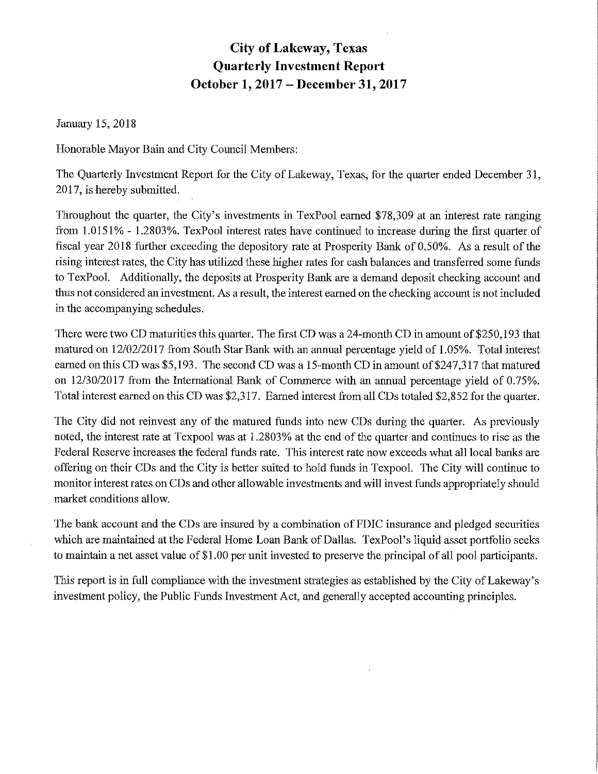# **City of Lakeway, Texas Quarterly Investment Report October 1, 2017 - December 31, 2017**

January 15, 2018

Honorable Mayor Bain and City Council Members:

The Quarterly Investment Report for the City of Lakeway, Texas, for the quarter ended December 31, 2017, is hereby submitted.

Throughout the quarter, the City's investments in TexPool earned \$78,309 at an interest rate ranging from 1.0151% - 1.2803%. TexPool interest rates have continued to increase during the first quarter of fiscal year 2018 further exceeding the depository rate at Prosperity Bank of 0.50%. As a result of the rising interest rates, the City has utilized these higher rates for cash balances and transferred some funds to TexPool. Additionally, the deposits at Prosperity Bank are a demand deposit checking account and thus not considered an investment. As a result, the interest earned on the checking account is not included in the accompanying schedules.

There were two CD maturities this quarter. The first CD was a 24-month CD in amount of \$250,193 that matured on 12/02/2017 from South Star Bank with an annual percentage yield of 1.05%. Total interest earned on this CD was  $$5,193$ . The second CD was a 15-month CD in amount of  $$247,317$  that matured on 12/30/2017 from the International Bank of Commerce with an annual percentage yield of 0.75%. Total interest earned on this CD was \$2,317. Earned interest from all CDs totaled \$2,852 for the quarter.

The City did not reinvest any of the matured funds into new CDs during the quarter. As previously noted, the interest rate at Texpool was at 1.2803% at the end of the quarter and continues to rise as the Federal Reserve increases the federal funds rate. This interest rate now exceeds what all local banks are offering on their CDs and the City is better suited to hold funds in Texpool. The City will continue to monitor interest rates on CDs and other allowable investments and will invest funds appropriately should market conditions allow.

The bank account and the CDs are insured by a combination of FDIC insurance and pledged securities which are maintained at the Federal Home Loan Bank of Dallas. TexPool's liquid asset portfolio seeks to maintain a net asset value of \$1.00 per unit invested to preserve the principal of all pool participants.

This report is in full compliance with the investment strategies as established by the City of Lakeway's investment policy, the Public Funds Investment Act, and generally accepted accounting principles.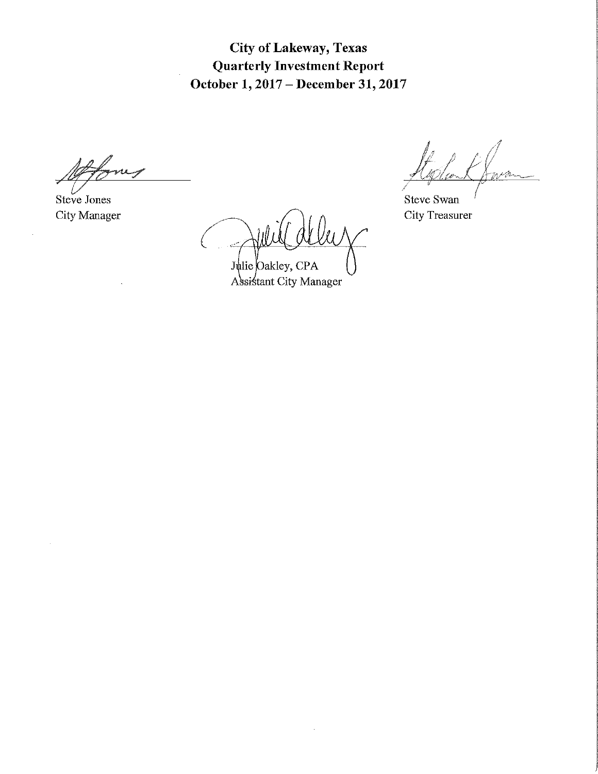**City of Lakeway, Texas Quarterly Investment Report October 1, 2017 - December 31, 2017** 

Steve Jones City Manager

Julie Oakley, CPA Assistant City Manager

 $\bar{z}$ 

n p n

Steve Swan City Treasurer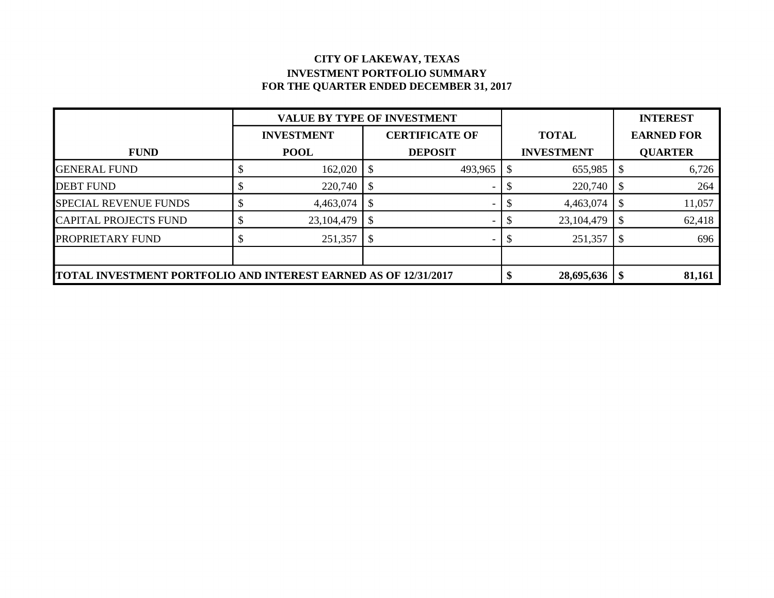#### **CITY OF LAKEWAY, TEXAS INVESTMENT PORTFOLIO SUMMARY FOR THE QUARTER ENDED DECEMBER 31, 2017**

|                                                                        | <b>VALUE BY TYPE OF INVESTMENT</b> |                       |                |  |                   | <b>INTEREST</b>   |
|------------------------------------------------------------------------|------------------------------------|-----------------------|----------------|--|-------------------|-------------------|
|                                                                        | <b>INVESTMENT</b>                  | <b>CERTIFICATE OF</b> |                |  | <b>TOTAL</b>      | <b>EARNED FOR</b> |
| <b>FUND</b>                                                            | <b>POOL</b>                        |                       | <b>DEPOSIT</b> |  | <b>INVESTMENT</b> | <b>QUARTER</b>    |
| <b>GENERAL FUND</b>                                                    | 162,020                            |                       | 493,965        |  | 655,985           | 6,726             |
| <b>DEBT FUND</b>                                                       | 220,740                            |                       |                |  | 220,740           | 264               |
| <b>SPECIAL REVENUE FUNDS</b>                                           | 4,463,074                          |                       |                |  | 4,463,074         | 11,057            |
| <b>CAPITAL PROJECTS FUND</b>                                           | 23, 104, 479                       |                       |                |  | 23,104,479        | 62,418            |
| PROPRIETARY FUND                                                       | 251,357                            |                       |                |  | 251,357           | 696               |
|                                                                        |                                    |                       |                |  |                   |                   |
| <b>TOTAL INVESTMENT PORTFOLIO AND INTEREST EARNED AS OF 12/31/2017</b> |                                    |                       |                |  | 28,695,636        | 81,161            |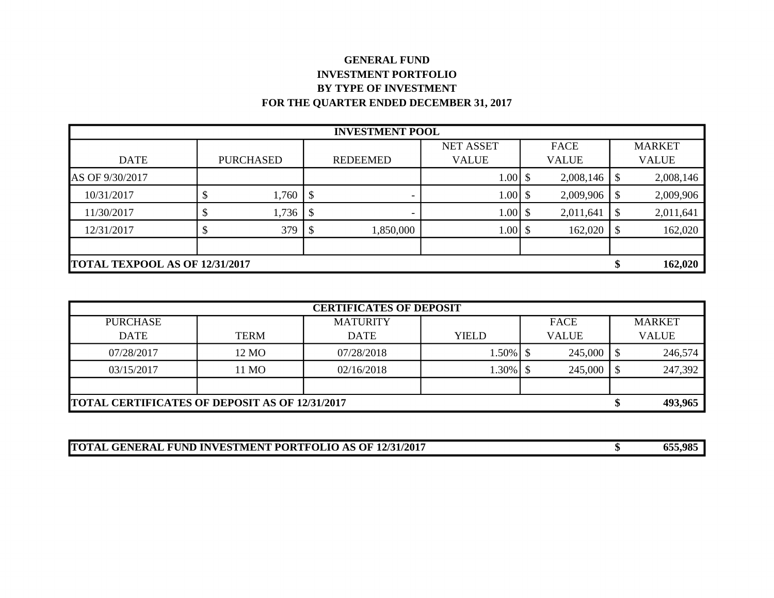#### **GENERAL FUND INVESTMENT PORTFOLIO BY TYPE OF INVESTMENT FOR THE QUARTER ENDED DECEMBER 31, 2017**

| <b>INVESTMENT POOL</b>   |                                |                  |     |                 |              |               |              |                            |               |
|--------------------------|--------------------------------|------------------|-----|-----------------|--------------|---------------|--------------|----------------------------|---------------|
| <b>NET ASSET</b><br>FACE |                                |                  |     |                 |              |               |              |                            | <b>MARKET</b> |
| <b>DATE</b>              |                                | <b>PURCHASED</b> |     | <b>REDEEMED</b> | <b>VALUE</b> |               | <b>VALUE</b> |                            | <b>VALUE</b>  |
| AS OF 9/30/2017          |                                |                  |     |                 | $1.00$ \$    |               | 2,008,146    | \$                         | 2,008,146     |
| 10/31/2017               |                                | 1,760            | - S |                 | 1.00         | <sup>\$</sup> | 2,009,906    | \$                         | 2,009,906     |
| 11/30/2017               |                                | 1,736            |     |                 | 1.00         |               | 2,011,641    |                            | 2,011,641     |
| 12/31/2017               |                                | 379              |     | 1,850,000       | $1.00$ \$    |               | 162,020      | $\boldsymbol{\mathsf{\$}}$ | 162,020       |
|                          |                                |                  |     |                 |              |               |              |                            |               |
|                          | TOTAL TEXPOOL AS OF 12/31/2017 |                  |     |                 |              |               |              | ¢<br>D                     | 162,020       |

| <b>CERTIFICATES OF DEPOSIT</b>                        |             |                 |              |              |               |              |  |  |
|-------------------------------------------------------|-------------|-----------------|--------------|--------------|---------------|--------------|--|--|
| <b>PURCHASE</b>                                       |             | <b>MATURITY</b> | FACE         |              | <b>MARKET</b> |              |  |  |
| <b>DATE</b>                                           | <b>TERM</b> | <b>DATE</b>     | <b>YIELD</b> | <b>VALUE</b> |               | <b>VALUE</b> |  |  |
| 07/28/2017                                            | 12 MO       | 07/28/2018      | 1.50%   \$   | 245,000      |               | 246,574      |  |  |
| 03/15/2017                                            | 11 MO       | 02/16/2018      | 1.30%   \$   | 245,000      |               | 247,392      |  |  |
|                                                       |             |                 |              |              |               |              |  |  |
| <b>TOTAL CERTIFICATES OF DEPOSIT AS OF 12/31/2017</b> |             |                 |              |              | ٠в            | 493,965      |  |  |

| <b>TOTAL GENERAL FUND INVESTMENT PORTFOLIO AS OF 12/31/2017</b> | 655,985 |
|-----------------------------------------------------------------|---------|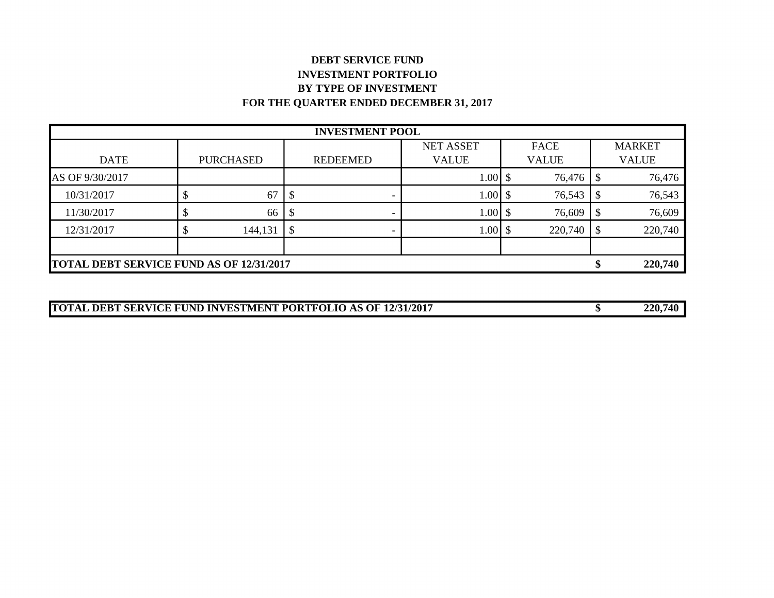## **DEBT SERVICE FUND INVESTMENT PORTFOLIO BY TYPE OF INVESTMENT FOR THE QUARTER ENDED DECEMBER 31, 2017**

| <b>INVESTMENT POOL</b>   |                                                 |                  |                           |                          |              |  |              |                           |               |
|--------------------------|-------------------------------------------------|------------------|---------------------------|--------------------------|--------------|--|--------------|---------------------------|---------------|
| <b>NET ASSET</b><br>FACE |                                                 |                  |                           |                          |              |  |              |                           | <b>MARKET</b> |
| <b>DATE</b>              |                                                 | <b>PURCHASED</b> |                           | <b>REDEEMED</b>          | <b>VALUE</b> |  | <b>VALUE</b> |                           | <b>VALUE</b>  |
| AS OF 9/30/2017          |                                                 |                  |                           |                          | $1.00$ \$    |  | 76,476       | \$                        | 76,476        |
| 10/31/2017               |                                                 | 67               |                           |                          | $1.00$ \$    |  | 76,543       | \$                        | 76,543        |
| 11/30/2017               |                                                 | 66               |                           |                          | 1.00         |  | 76,609       | -S                        | 76,609        |
| 12/31/2017               |                                                 | 144,131          | $\boldsymbol{\mathsf{S}}$ | $\overline{\phantom{0}}$ | $1.00$ \$    |  | 220,740      | $\boldsymbol{\mathsf{S}}$ | 220,740       |
|                          |                                                 |                  |                           |                          |              |  |              |                           |               |
|                          | <b>TOTAL DEBT SERVICE FUND AS OF 12/31/2017</b> |                  |                           |                          |              |  |              |                           | 220,740       |

| <b>TOTAL DEBT SERVICE FUND INVESTMENT PORTFOLIO AS OF 12/31/2017</b> | 220,740 |
|----------------------------------------------------------------------|---------|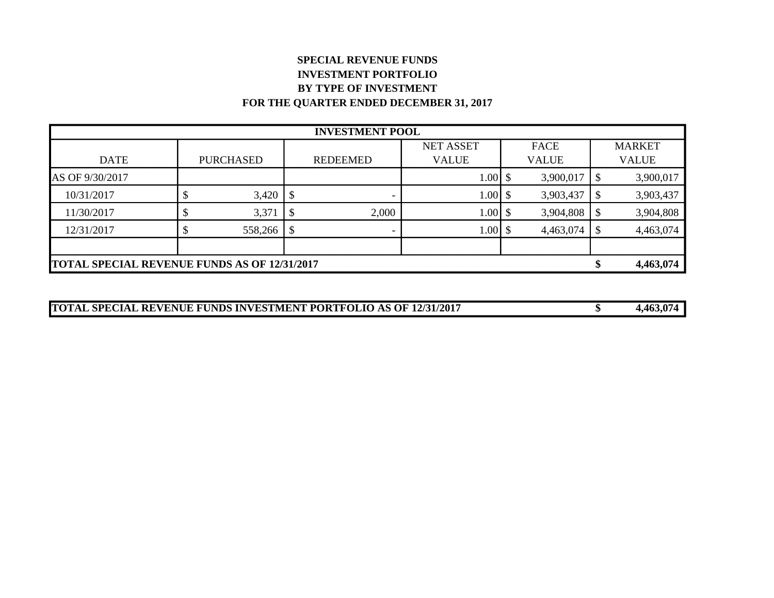## **SPECIAL REVENUE FUNDS INVESTMENT PORTFOLIO BY TYPE OF INVESTMENT FOR THE QUARTER ENDED DECEMBER 31, 2017**

| <b>INVESTMENT POOL</b>                              |  |                  |                           |                 |              |  |              |                           |               |
|-----------------------------------------------------|--|------------------|---------------------------|-----------------|--------------|--|--------------|---------------------------|---------------|
| <b>NET ASSET</b><br>FACE                            |  |                  |                           |                 |              |  |              |                           | <b>MARKET</b> |
| <b>DATE</b>                                         |  | <b>PURCHASED</b> |                           | <b>REDEEMED</b> | <b>VALUE</b> |  | <b>VALUE</b> |                           | <b>VALUE</b>  |
| AS OF 9/30/2017                                     |  |                  |                           |                 | $1.00$ \$    |  | 3,900,017    | $\boldsymbol{\mathsf{S}}$ | 3,900,017     |
| 10/31/2017                                          |  | 3,420            | $\mathcal{S}$             |                 | $1.00$ \$    |  | 3,903,437    | -S                        | 3,903,437     |
| 11/30/2017                                          |  | 3,371            |                           | 2,000           | 1.00         |  | 3,904,808    | \$                        | 3,904,808     |
| 12/31/2017                                          |  | 558,266          | $\boldsymbol{\mathsf{S}}$ | -               | $1.00$ \$    |  | 4,463,074    | $\boldsymbol{\mathsf{S}}$ | 4,463,074     |
|                                                     |  |                  |                           |                 |              |  |              |                           |               |
| <b>TOTAL SPECIAL REVENUE FUNDS AS OF 12/31/2017</b> |  |                  |                           |                 |              |  |              |                           | 4,463,074     |

| <b>TOTAL SPECIAL REVENUE FUNDS INVESTMENT PORTFOLIO AS OF 12/31/2017</b> | 4,463,074 |
|--------------------------------------------------------------------------|-----------|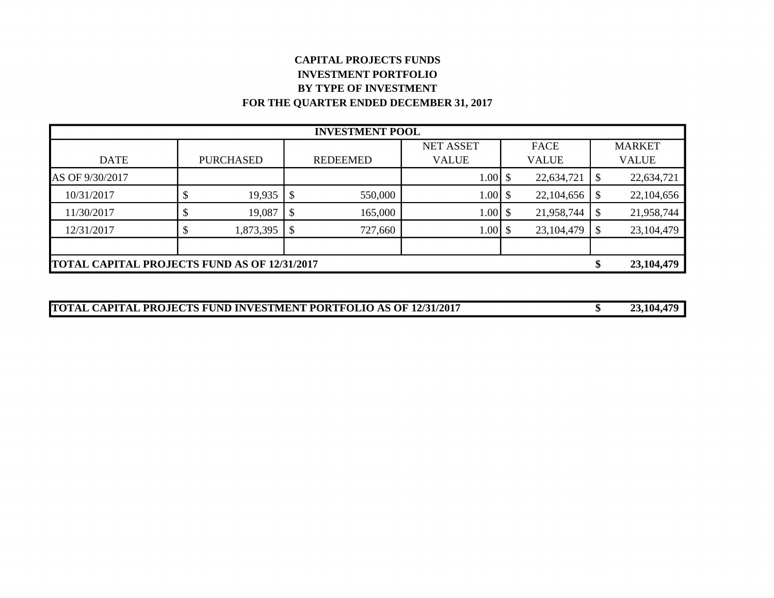## **CAPITAL PROJECTS FUNDS INVESTMENT PORTFOLIO BY TYPE OF INVESTMENT FOR THE QUARTER ENDED DECEMBER 31, 2017**

| <b>INVESTMENT POOL</b>                              |  |                  |                            |                 |              |  |              |                           |               |
|-----------------------------------------------------|--|------------------|----------------------------|-----------------|--------------|--|--------------|---------------------------|---------------|
| <b>NET ASSET</b><br>FACE                            |  |                  |                            |                 |              |  |              |                           | <b>MARKET</b> |
| <b>DATE</b>                                         |  | <b>PURCHASED</b> |                            | <b>REDEEMED</b> | <b>VALUE</b> |  | <b>VALUE</b> |                           | <b>VALUE</b>  |
| AS OF 9/30/2017                                     |  |                  |                            |                 | $1.00$ \$    |  | 22,634,721   | \$                        | 22,634,721    |
| 10/31/2017                                          |  | 19,935           | $\boldsymbol{\mathsf{\$}}$ | 550,000         | 1.00         |  | 22,104,656   | \$                        | 22,104,656    |
| 11/30/2017                                          |  | 19,087           | $\boldsymbol{\mathsf{S}}$  | 165,000         | 1.00         |  | 21,958,744   | \$                        | 21,958,744    |
| 12/31/2017                                          |  | 1,873,395        | $\boldsymbol{\mathsf{\$}}$ | 727,660         | 1.00         |  | 23, 104, 479 | $\boldsymbol{\mathsf{S}}$ | 23, 104, 479  |
|                                                     |  |                  |                            |                 |              |  |              |                           |               |
| <b>TOTAL CAPITAL PROJECTS FUND AS OF 12/31/2017</b> |  |                  |                            |                 |              |  |              | \$                        | 23, 104, 479  |

| <b>TOTAL CAPITAL PROJECTS FUND INVESTMENT PORTFOLIO AS OF 12/31/2017</b> | 23,104,479 |
|--------------------------------------------------------------------------|------------|